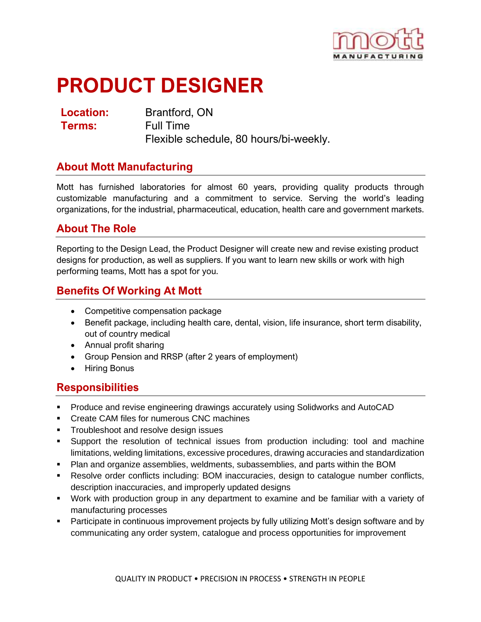

# **PRODUCT DESIGNER**

## **Location:** Brantford, ON **Terms:** Full Time Flexible schedule, 80 hours/bi-weekly.

### **About Mott Manufacturing**

Mott has furnished laboratories for almost 60 years, providing quality products through customizable manufacturing and a commitment to service. Serving the world's leading organizations, for the industrial, pharmaceutical, education, health care and government markets.

#### **About The Role**

Reporting to the Design Lead, the Product Designer will create new and revise existing product designs for production, as well as suppliers. If you want to learn new skills or work with high performing teams, Mott has a spot for you.

## **Benefits Of Working At Mott**

- Competitive compensation package
- Benefit package, including health care, dental, vision, life insurance, short term disability, out of country medical
- Annual profit sharing
- Group Pension and RRSP (after 2 years of employment)
- Hiring Bonus

#### **Responsibilities**

- Produce and revise engineering drawings accurately using Solidworks and AutoCAD
- Create CAM files for numerous CNC machines
- **•** Troubleshoot and resolve design issues
- Support the resolution of technical issues from production including: tool and machine limitations, welding limitations, excessive procedures, drawing accuracies and standardization
- Plan and organize assemblies, weldments, subassemblies, and parts within the BOM
- **Resolve order conflicts including: BOM inaccuracies, design to catalogue number conflicts,** description inaccuracies, and improperly updated designs
- Work with production group in any department to examine and be familiar with a variety of manufacturing processes
- **•** Participate in continuous improvement projects by fully utilizing Mott's design software and by communicating any order system, catalogue and process opportunities for improvement